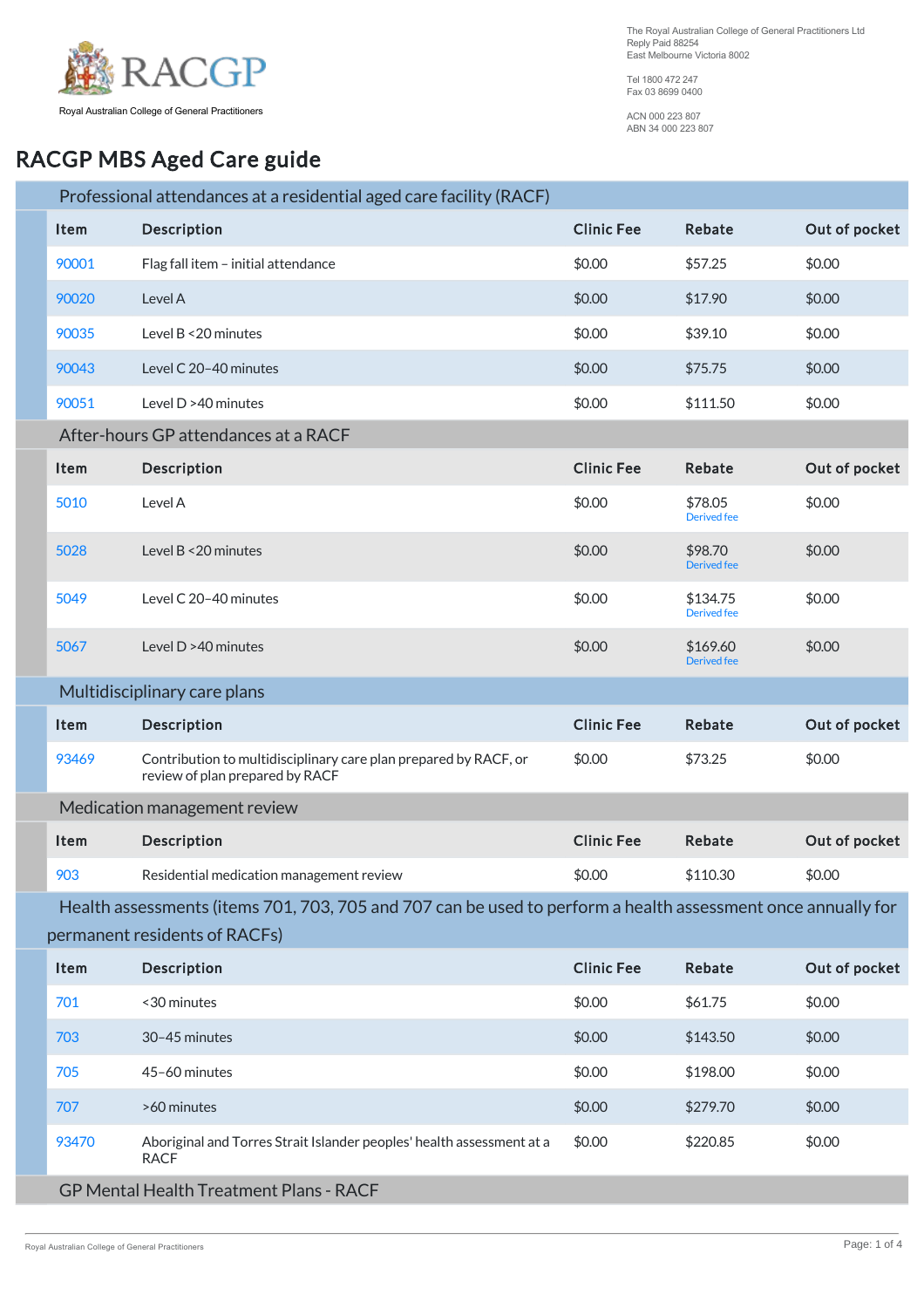

The Royal Australian College of General Practitioners Ltd Reply Paid 88254 East Melbourne Victoria 8002

Tel 1800 472 247 Fax 03 8699 0400

ACN 000 223 807 ABN 34 000 223 807

## RACGP MBS Aged Care guide

|                              |                                      | Professional attendances at a residential aged care facility (RACF)                                          |                   |                                |               |  |  |
|------------------------------|--------------------------------------|--------------------------------------------------------------------------------------------------------------|-------------------|--------------------------------|---------------|--|--|
|                              | <b>Item</b>                          | Description                                                                                                  | <b>Clinic Fee</b> | Rebate                         | Out of pocket |  |  |
|                              | 90001                                | Flag fall item - initial attendance                                                                          | \$0.00            | \$57.25                        | \$0.00        |  |  |
|                              | 90020                                | Level A                                                                                                      | \$0.00            | \$17.90                        | \$0.00        |  |  |
|                              | 90035                                | Level B < 20 minutes                                                                                         | \$0.00            | \$39.10                        | \$0.00        |  |  |
|                              | 90043                                | Level C 20-40 minutes                                                                                        | \$0.00            | \$75.75                        | \$0.00        |  |  |
|                              | 90051                                | Level D >40 minutes                                                                                          | \$0.00            | \$111.50                       | \$0.00        |  |  |
|                              | After-hours GP attendances at a RACF |                                                                                                              |                   |                                |               |  |  |
|                              | Item                                 | Description                                                                                                  | <b>Clinic Fee</b> | <b>Rebate</b>                  | Out of pocket |  |  |
|                              | 5010                                 | Level A                                                                                                      | \$0.00            | \$78.05<br><b>Derived</b> fee  | \$0.00        |  |  |
|                              | 5028                                 | Level B < 20 minutes                                                                                         | \$0.00            | \$98.70<br><b>Derived fee</b>  | \$0.00        |  |  |
|                              | 5049                                 | Level C 20-40 minutes                                                                                        | \$0.00            | \$134.75<br><b>Derived</b> fee | \$0.00        |  |  |
|                              | 5067                                 | Level $D > 40$ minutes                                                                                       | \$0.00            | \$169.60<br><b>Derived</b> fee | \$0.00        |  |  |
| Multidisciplinary care plans |                                      |                                                                                                              |                   |                                |               |  |  |
|                              | Item                                 | Description                                                                                                  | <b>Clinic Fee</b> | Rebate                         | Out of pocket |  |  |
|                              | 93469                                | Contribution to multidisciplinary care plan prepared by RACF, or<br>review of plan prepared by RACF          | \$0.00            | \$73.25                        | \$0.00        |  |  |
|                              |                                      | Medication management review                                                                                 |                   |                                |               |  |  |
|                              | Item                                 | Description                                                                                                  | <b>Clinic Fee</b> | Rebate                         | Out of pocket |  |  |
|                              | 903                                  | Residential medication management review                                                                     | \$0.00            | \$110.30                       | \$0.00        |  |  |
|                              |                                      | Health assessments (items 701, 703, 705 and 707 can be used to perform a health assessment once annually for |                   |                                |               |  |  |
|                              |                                      | permanent residents of RACFs)                                                                                |                   |                                |               |  |  |
|                              | Item                                 | Description                                                                                                  | <b>Clinic Fee</b> | Rebate                         | Out of pocket |  |  |
|                              | 701                                  | <30 minutes                                                                                                  | \$0.00            | \$61.75                        | \$0.00        |  |  |
|                              | 703                                  | 30-45 minutes                                                                                                | \$0.00            | \$143.50                       | \$0.00        |  |  |
|                              | 705                                  | 45-60 minutes                                                                                                | \$0.00            | \$198.00                       | \$0.00        |  |  |
|                              | 707                                  | >60 minutes                                                                                                  | \$0.00            | \$279.70                       | \$0.00        |  |  |
|                              | 93470                                | Aboriginal and Torres Strait Islander peoples' health assessment at a<br><b>RACF</b>                         | \$0.00            | \$220.85                       | \$0.00        |  |  |
|                              |                                      | <b>GP Mental Health Treatment Plans - RACF</b>                                                               |                   |                                |               |  |  |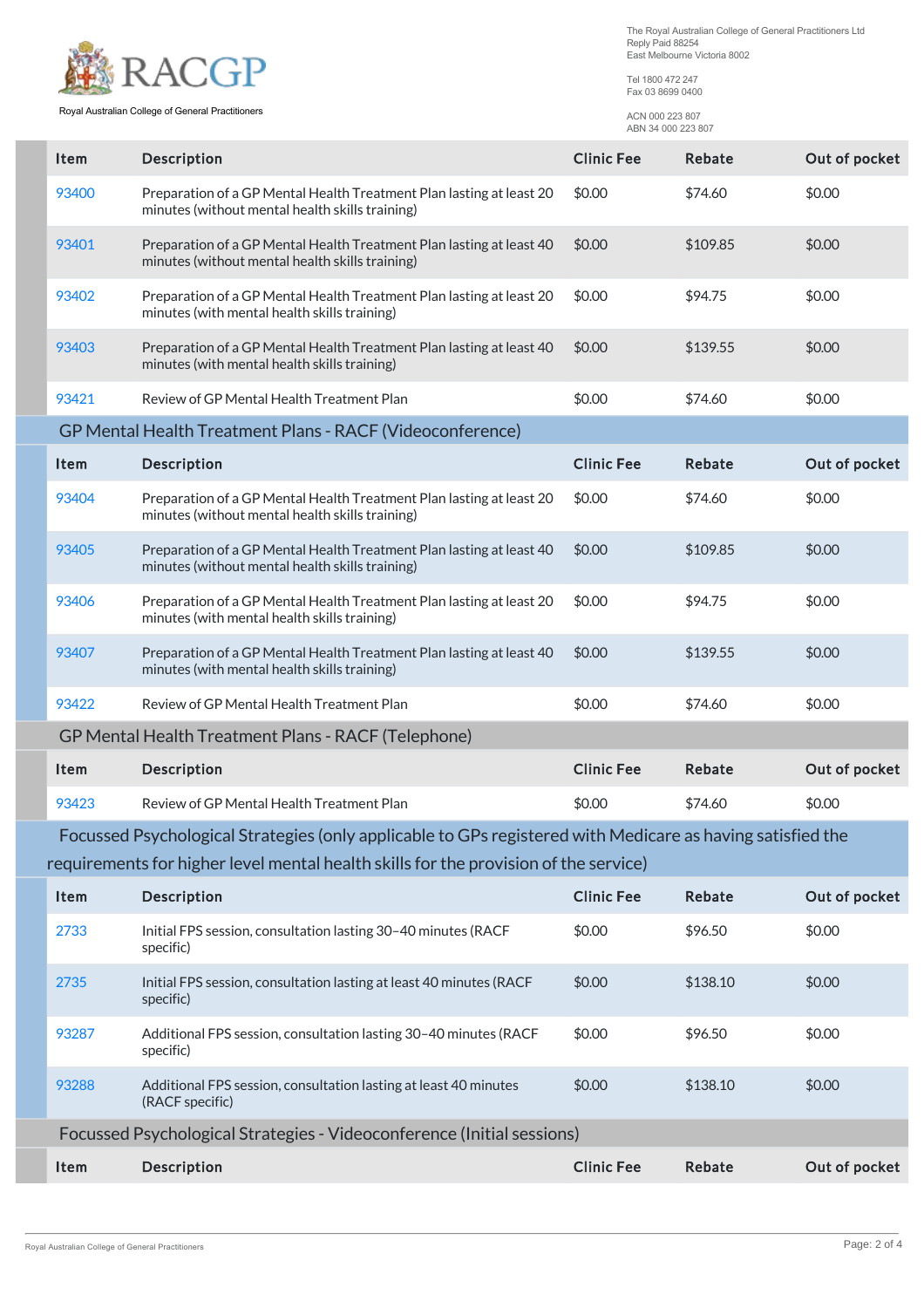

Royal Australian College of General Practitioners

The Royal Australian College of General Practitioners Ltd<br>Reply Paid 88254 East Melbourne Victoria 8002

Tel 1800 472 247<br>Fax 03 8699 0400

ACN 000 223 807 ABN 34 000 223 807

| Item                                                                   | Description                                                                                                             | <b>Clinic Fee</b> | Rebate        | Out of pocket |  |  |  |
|------------------------------------------------------------------------|-------------------------------------------------------------------------------------------------------------------------|-------------------|---------------|---------------|--|--|--|
| 93400                                                                  | Preparation of a GP Mental Health Treatment Plan lasting at least 20<br>minutes (without mental health skills training) | \$0.00            | \$74.60       | \$0.00        |  |  |  |
| 93401                                                                  | Preparation of a GP Mental Health Treatment Plan lasting at least 40<br>minutes (without mental health skills training) | \$0.00            | \$109.85      | \$0.00        |  |  |  |
| 93402                                                                  | Preparation of a GP Mental Health Treatment Plan lasting at least 20<br>minutes (with mental health skills training)    | \$0.00            | \$94.75       | \$0.00        |  |  |  |
| 93403                                                                  | Preparation of a GP Mental Health Treatment Plan lasting at least 40<br>minutes (with mental health skills training)    | \$0.00            | \$139.55      | \$0.00        |  |  |  |
| 93421                                                                  | Review of GP Mental Health Treatment Plan                                                                               | \$0.00            | \$74.60       | \$0.00        |  |  |  |
| GP Mental Health Treatment Plans - RACF (Videoconference)              |                                                                                                                         |                   |               |               |  |  |  |
| Item                                                                   | Description                                                                                                             | <b>Clinic Fee</b> | Rebate        | Out of pocket |  |  |  |
| 93404                                                                  | Preparation of a GP Mental Health Treatment Plan lasting at least 20<br>minutes (without mental health skills training) | \$0.00            | \$74.60       | \$0.00        |  |  |  |
| 93405                                                                  | Preparation of a GP Mental Health Treatment Plan lasting at least 40<br>minutes (without mental health skills training) | \$0.00            | \$109.85      | \$0.00        |  |  |  |
| 93406                                                                  | Preparation of a GP Mental Health Treatment Plan lasting at least 20<br>minutes (with mental health skills training)    | \$0.00            | \$94.75       | \$0.00        |  |  |  |
| 93407                                                                  | Preparation of a GP Mental Health Treatment Plan lasting at least 40<br>minutes (with mental health skills training)    | \$0.00            | \$139.55      | \$0.00        |  |  |  |
| 93422                                                                  | Review of GP Mental Health Treatment Plan                                                                               | \$0.00            | \$74.60       | \$0.00        |  |  |  |
|                                                                        | <b>GP Mental Health Treatment Plans - RACF (Telephone)</b>                                                              |                   |               |               |  |  |  |
| Item                                                                   | <b>Description</b>                                                                                                      | <b>Clinic Fee</b> | Rebate        | Out of pocket |  |  |  |
| 93423                                                                  | Review of GP Mental Health Treatment Plan                                                                               | \$0.00            | \$74.60       | \$0.00        |  |  |  |
|                                                                        | Focussed Psychological Strategies (only applicable to GPs registered with Medicare as having satisfied the              |                   |               |               |  |  |  |
|                                                                        | requirements for higher level mental health skills for the provision of the service)                                    |                   |               |               |  |  |  |
| Item                                                                   | Description                                                                                                             | <b>Clinic Fee</b> | <b>Rebate</b> | Out of pocket |  |  |  |
| 2733                                                                   | Initial FPS session, consultation lasting 30-40 minutes (RACF<br>specific)                                              | \$0.00            | \$96.50       | \$0.00        |  |  |  |
| 2735                                                                   | Initial FPS session, consultation lasting at least 40 minutes (RACF<br>specific)                                        | \$0.00            | \$138.10      | \$0.00        |  |  |  |
| 93287                                                                  | Additional FPS session, consultation lasting 30-40 minutes (RACF<br>specific)                                           | \$0.00            | \$96.50       | \$0.00        |  |  |  |
| 93288                                                                  | Additional FPS session, consultation lasting at least 40 minutes<br>(RACF specific)                                     | \$0.00            | \$138.10      | \$0.00        |  |  |  |
| Focussed Psychological Strategies - Videoconference (Initial sessions) |                                                                                                                         |                   |               |               |  |  |  |
| Item                                                                   | Description                                                                                                             | <b>Clinic Fee</b> | Rebate        | Out of pocket |  |  |  |
|                                                                        |                                                                                                                         |                   |               |               |  |  |  |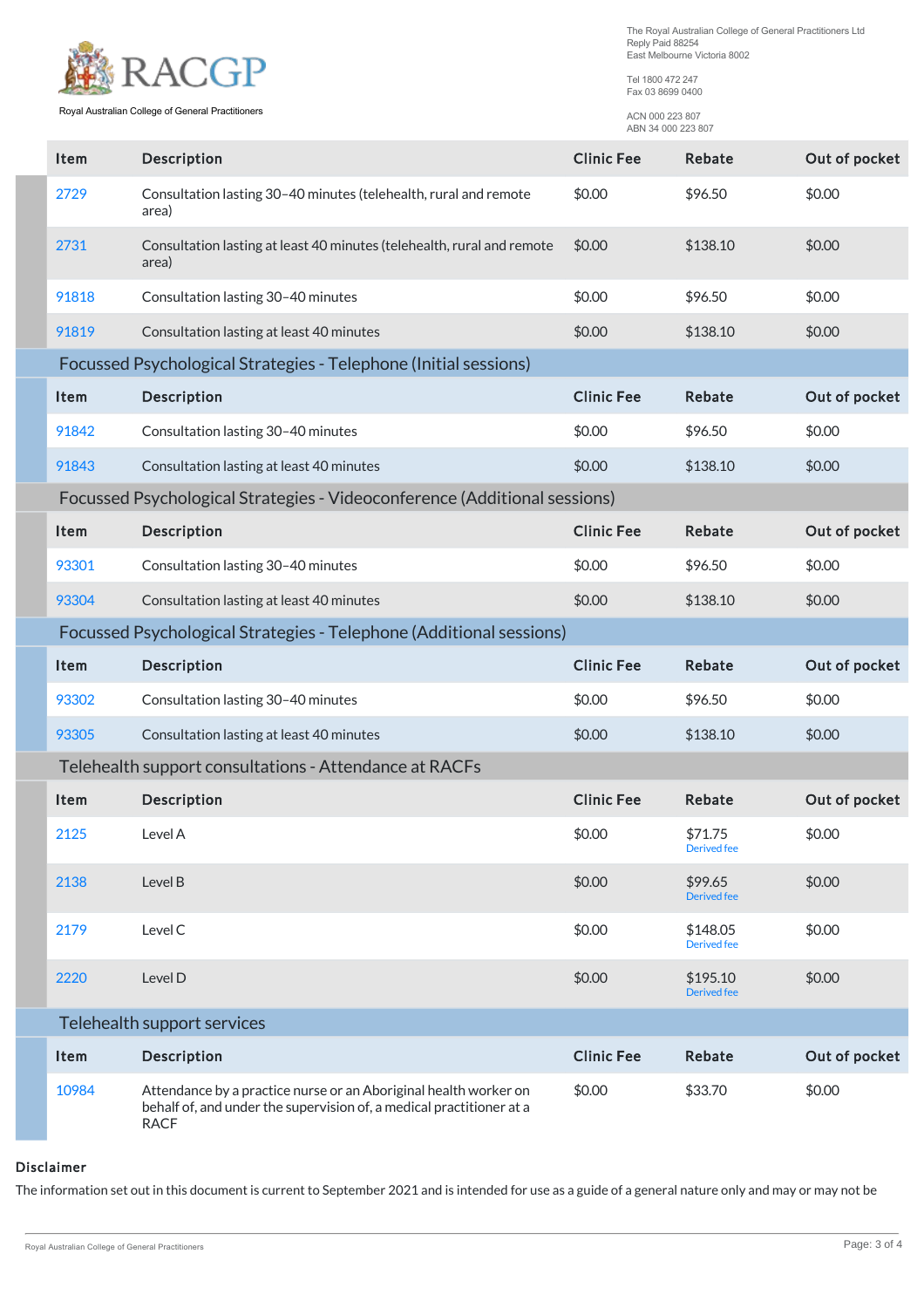The Royal Australian College of General Practitioners Ltd<br>Reply Paid 88254 East Melbourne Victoria 8002



Royal Australian College of General Practitioners

Tel 1800 472 247 Fax 03 8699 0400

> ACN 000 223 807 ABN 34 000 223 807

| Item                                                                | Description                                                                     | <b>Clinic Fee</b> | Rebate                         | Out of pocket |  |  |  |
|---------------------------------------------------------------------|---------------------------------------------------------------------------------|-------------------|--------------------------------|---------------|--|--|--|
| 2729                                                                | Consultation lasting 30-40 minutes (telehealth, rural and remote<br>area)       | \$0.00            | \$96.50                        | \$0.00        |  |  |  |
| 2731                                                                | Consultation lasting at least 40 minutes (telehealth, rural and remote<br>area) | \$0.00            | \$138.10                       | \$0.00        |  |  |  |
| 91818                                                               | Consultation lasting 30-40 minutes                                              | \$0.00            | \$96.50                        | \$0.00        |  |  |  |
| 91819                                                               | Consultation lasting at least 40 minutes                                        | \$0.00            | \$138.10                       | \$0.00        |  |  |  |
| Focussed Psychological Strategies - Telephone (Initial sessions)    |                                                                                 |                   |                                |               |  |  |  |
| Item                                                                | Description                                                                     | <b>Clinic Fee</b> | Rebate                         | Out of pocket |  |  |  |
| 91842                                                               | Consultation lasting 30-40 minutes                                              | \$0.00            | \$96.50                        | \$0.00        |  |  |  |
| 91843                                                               | Consultation lasting at least 40 minutes                                        | \$0.00            | \$138.10                       | \$0.00        |  |  |  |
|                                                                     | Focussed Psychological Strategies - Videoconference (Additional sessions)       |                   |                                |               |  |  |  |
| Item                                                                | Description                                                                     | <b>Clinic Fee</b> | <b>Rebate</b>                  | Out of pocket |  |  |  |
| 93301                                                               | Consultation lasting 30-40 minutes                                              | \$0.00            | \$96.50                        | \$0.00        |  |  |  |
| 93304                                                               | Consultation lasting at least 40 minutes                                        | \$0.00            | \$138.10                       | \$0.00        |  |  |  |
| Focussed Psychological Strategies - Telephone (Additional sessions) |                                                                                 |                   |                                |               |  |  |  |
|                                                                     |                                                                                 |                   |                                |               |  |  |  |
| Item                                                                | <b>Description</b>                                                              | <b>Clinic Fee</b> | <b>Rebate</b>                  | Out of pocket |  |  |  |
| 93302                                                               | Consultation lasting 30-40 minutes                                              | \$0.00            | \$96.50                        | \$0.00        |  |  |  |
| 93305                                                               | Consultation lasting at least 40 minutes                                        | \$0.00            | \$138.10                       | \$0.00        |  |  |  |
|                                                                     | Telehealth support consultations - Attendance at RACFs                          |                   |                                |               |  |  |  |
| Item                                                                | Description                                                                     | <b>Clinic Fee</b> | <b>Rebate</b>                  | Out of pocket |  |  |  |
| 2125                                                                | Level A                                                                         | \$0.00            | \$71.75<br><b>Derived</b> fee  | \$0.00        |  |  |  |
| 2138                                                                | Level B                                                                         | \$0.00            | \$99.65<br><b>Derived</b> fee  | \$0.00        |  |  |  |
| 2179                                                                | Level C                                                                         | \$0.00            | \$148.05<br><b>Derived</b> fee | \$0.00        |  |  |  |
| 2220                                                                | Level D                                                                         | \$0.00            | \$195.10<br><b>Derived</b> fee | \$0.00        |  |  |  |
|                                                                     | Telehealth support services                                                     |                   |                                |               |  |  |  |
| Item                                                                | Description                                                                     | <b>Clinic Fee</b> | Rebate                         | Out of pocket |  |  |  |

## Disclaimer

The information set out in this document is current to September 2021 and is intended for use as a guide of a general nature only and may or may not be